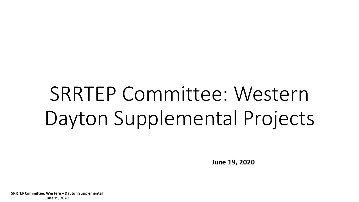# SRRTEP Committee: Western Dayton Supplemental Projects

**June 19, 2020**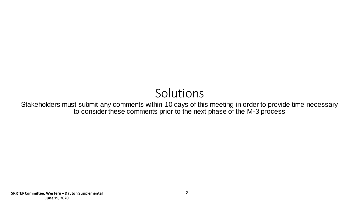# Solutions

Stakeholders must submit any comments within 10 days of this meeting in order to provide time necessary to consider these comments prior to the next phase of the M-3 process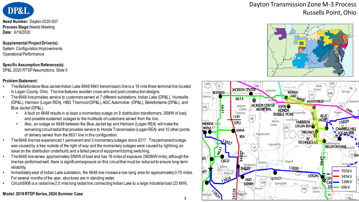

**Need Number:** Dayton-2020-007 **Process Stage:**Needs Meeting **Date:** 6/19/2020

#### **Supplemental Project Driver(s):**

System Configuration Improvements Operational Performance

#### **Specific Assumption Reference(s):**

DP&L 2020 RTEP Assumptions, Slide 5

#### **Problem Statement:**

- The Bellefontaine-Blue Jacket-Indian Lake 6648 69kV transmission line is a 16 mile three-terminal line located in Logan County, Ohio. The line features wooden cross-arm and post construction designs.
- The 6648 line provides service to customers served at 7 different substations: Indian Lake (DP&L), Huntsville (DP&L), Harrison (Logan REA), HBD Thermoid (DP&L), AGC Automotive (DP&L), Bellefontaine (DP&L), and Blue Jacket (DP&L).
	- A fault on 6648 results in at least a momentary outage on 9 distribution transformers, 35MW of load, and possible sustained outages to the multitude of customers served from the line.
	- Also, an outage on 6648 between the Blue Jacket tap and Harrison (Logan REA) will make the remaining circuit radial that provides service to Honda Transmission (Logan REA) and 10 other points of delivery served from the 6631 line in this configuration.
- The 6648 line has experienced 1 permanent and 3 momentary outages since 2017. The permanent outage was caused by a tree outside of the right of way and the momentary outages were caused by lightning, an issue on the distribution underbuild, and a failed piece of equipment during switching.
- The 6648 line serves approximately 35MW of load and has 16 miles of exposure (560MW-mile), although the line has performed well, there is significant exposure on this circuit that must be reduced to ensure long-term reliability.
- Immediately east of Indian Lake substation, the 6648 line crosses a low-lying area for approximately 0.75 miles. For several months of the year, structures are in standing water.
- Circuit 6906 is a radial line 2.0 mile long radial line connecting Indian Lake to a large industrial load (23 MW).

### **Model: 2019 RTEP Series, 2024 Summer Case**

## Dayton Transmission Zone M-3 Process Russells Point, Ohio



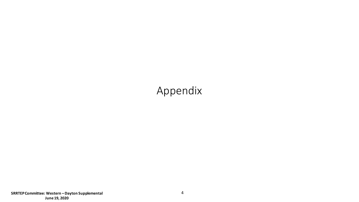# Appendix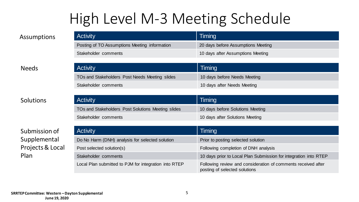# High Level M-3 Meeting Schedule

Activity **Timing** 

TOs and Stakeholders Post Needs Meeting slides 10 days before Needs Meeting

Stakeholder comments 10 days after Needs Meeting

Assumptions

Activity **Timing** Posting of TO Assumptions Meeting information 20 days before Assumptions Meeting Stakeholder comments 10 days after Assumptions Meeting

### Needs

### **Solutions**

Submission of Supplemental Projects & Local Plan

| <b>Activity</b>                                    | Timing                           |
|----------------------------------------------------|----------------------------------|
| TOs and Stakeholders Post Solutions Meeting slides | 10 days before Solutions Meeting |
| Stakeholder comments                               | 10 days after Solutions Meeting  |

| <b>Activity</b>                                       | Timing                                                                                         |
|-------------------------------------------------------|------------------------------------------------------------------------------------------------|
| Do No Harm (DNH) analysis for selected solution       | Prior to posting selected solution                                                             |
| Post selected solution(s)                             | Following completion of DNH analysis                                                           |
| Stakeholder comments                                  | 10 days prior to Local Plan Submission for integration into RTEP                               |
| Local Plan submitted to PJM for integration into RTEP | Following review and consideration of comments received after<br>posting of selected solutions |